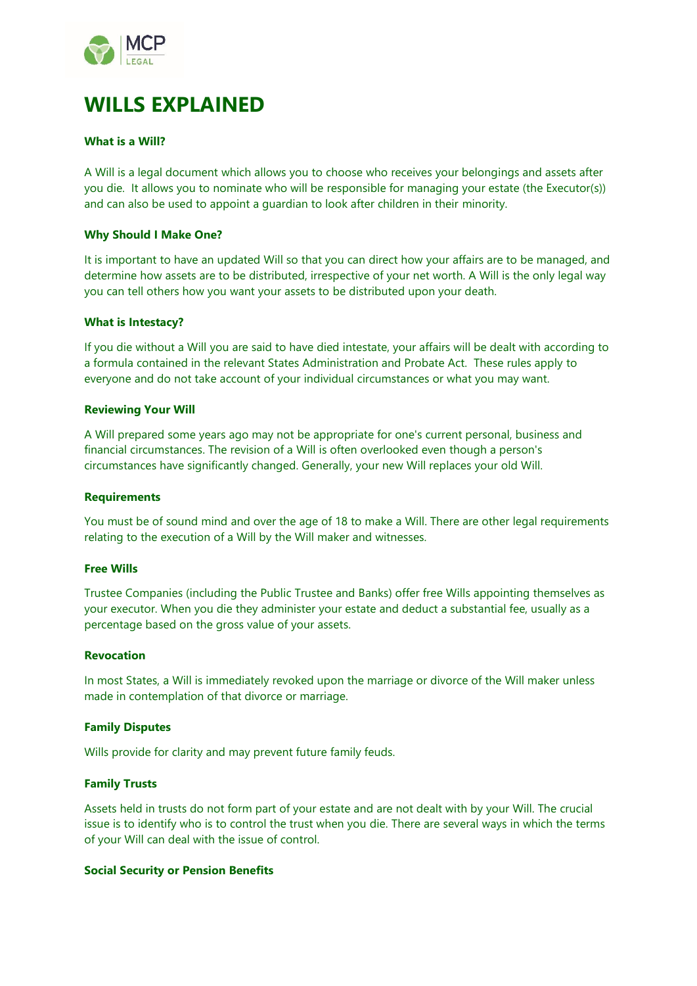

# **WILLS EXPLAINED**

# **What is a Will?**

A Will is a legal document which allows you to choose who receives your belongings and assets after you die. It allows you to nominate who will be responsible for managing your estate (the Executor(s)) and can also be used to appoint a guardian to look after children in their minority.

## **Why Should I Make One?**

It is important to have an updated Will so that you can direct how your affairs are to be managed, and determine how assets are to be distributed, irrespective of your net worth. A Will is the only legal way you can tell others how you want your assets to be distributed upon your death.

## **What is Intestacy?**

If you die without a Will you are said to have died intestate, your affairs will be dealt with according to a formula contained in the relevant States Administration and Probate Act. These rules apply to everyone and do not take account of your individual circumstances or what you may want.

#### **Reviewing Your Will**

A Will prepared some years ago may not be appropriate for one's current personal, business and financial circumstances. The revision of a Will is often overlooked even though a person's circumstances have significantly changed. Generally, your new Will replaces your old Will.

#### **Requirements**

You must be of sound mind and over the age of 18 to make a Will. There are other legal requirements relating to the execution of a Will by the Will maker and witnesses.

#### **Free Wills**

Trustee Companies (including the Public Trustee and Banks) offer free Wills appointing themselves as your executor. When you die they administer your estate and deduct a substantial fee, usually as a percentage based on the gross value of your assets.

#### **Revocation**

In most States, a Will is immediately revoked upon the marriage or divorce of the Will maker unless made in contemplation of that divorce or marriage.

# **Family Disputes**

Wills provide for clarity and may prevent future family feuds.

#### **Family Trusts**

Assets held in trusts do not form part of your estate and are not dealt with by your Will. The crucial issue is to identify who is to control the trust when you die. There are several ways in which the terms of your Will can deal with the issue of control.

#### **Social Security or Pension Benefits**